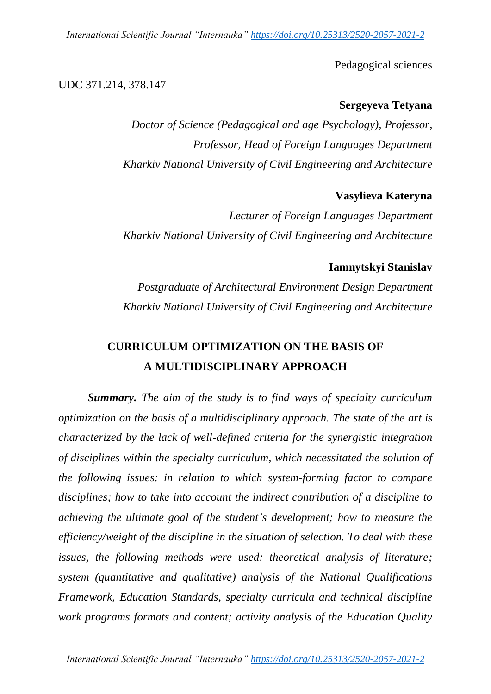*International Scientific Journal "Internauka" https://doi.org/10.25313/2520-2057-2021-2*

Pedagogical sciences

### UDC 371.214, 378.147

### **Sergeyeva Tetyana**

*Doctor of Science (Pedagogical and age Psychology), Professor, Professor, Head of Foreign Languages Department Kharkiv National University of Civil Engineering and Architecture*

### **Vasylieva Kateryna**

*Lecturer of Foreign Languages Department Kharkiv National University of Civil Engineering and Architecture*

### **Iamnytskyi Stanislav**

*Postgraduate of Architectural Environment Design Department Kharkiv National University of Civil Engineering and Architecture*

# **CURRICULUM OPTIMIZATION ON THE BASIS OF A MULTIDISCIPLINARY APPROACH**

*Summary. The aim of the study is to find ways of specialty curriculum optimization on the basis of a multidisciplinary approach. The state of the art is characterized by the lack of well-defined criteria for the synergistic integration of disciplines within the specialty curriculum, which necessitated the solution of the following issues: in relation to which system-forming factor to compare disciplines; how to take into account the indirect contribution of a discipline to achieving the ultimate goal of the student's development; how to measure the efficiency/weight of the discipline in the situation of selection. To deal with these issues, the following methods were used: theoretical analysis of literature; system (quantitative and qualitative) analysis of the National Qualifications Framework, Education Standards, specialty curricula and technical discipline work programs formats and content; activity analysis of the Education Quality*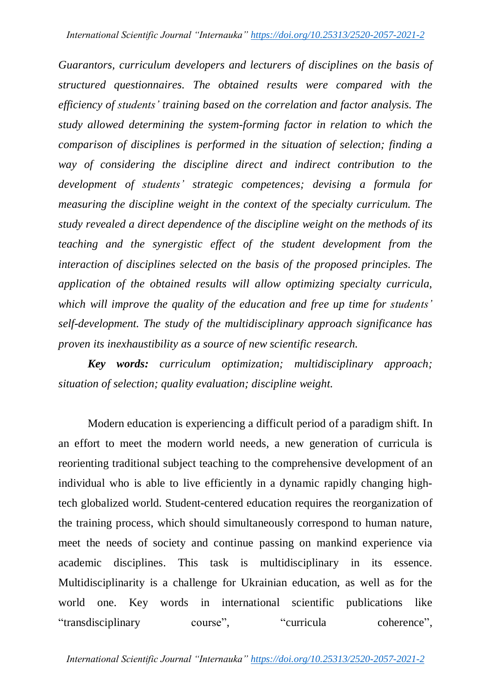*Guarantors, curriculum developers and lecturers of disciplines on the basis of structured questionnaires. The obtained results were compared with the efficiency of students' training based on the correlation and factor analysis. The study allowed determining the system-forming factor in relation to which the comparison of disciplines is performed in the situation of selection; finding a way of considering the discipline direct and indirect contribution to the development of students' strategic competences; devising a formula for measuring the discipline weight in the context of the specialty curriculum. The study revealed a direct dependence of the discipline weight on the methods of its teaching and the synergistic effect of the student development from the interaction of disciplines selected on the basis of the proposed principles. The application of the obtained results will allow optimizing specialty curricula, which will improve the quality of the education and free up time for students' self-development. The study of the multidisciplinary approach significance has proven its inexhaustibility as a source of new scientific research.*

*Key words: curriculum optimization; multidisciplinary approach; situation of selection; quality evaluation; discipline weight.*

Modern education is experiencing a difficult period of a paradigm shift. In an effort to meet the modern world needs, a new generation of curricula is reorienting traditional subject teaching to the comprehensive development of an individual who is able to live efficiently in a dynamic rapidly changing hightech globalized world. Student-centered education requires the reorganization of the training process, which should simultaneously correspond to human nature, meet the needs of society and continue passing on mankind experience via academic disciplines. This task is multidisciplinary in its essence. Multidisciplinarity is a challenge for Ukrainian education, as well as for the world one. Key words in international scientific publications like "transdisciplinary course", "curricula coherence",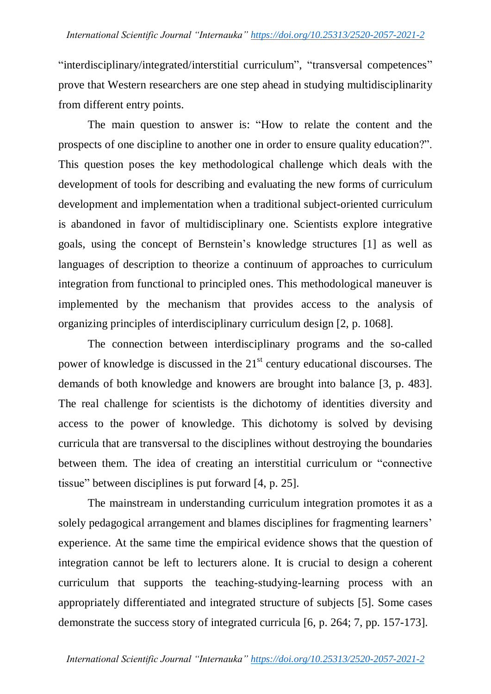"interdisciplinary/integrated/interstitial curriculum", "transversal competences" prove that Western researchers are one step ahead in studying multidisciplinarity from different entry points.

The main question to answer is: "How to relate the content and the prospects of one discipline to another one in order to ensure quality education?". This question poses the key methodological challenge which deals with the development of tools for describing and evaluating the new forms of curriculum development and implementation when a traditional subject-oriented curriculum is abandoned in favor of multidisciplinary one. Scientists explore integrative goals, using the concept of Bernstein"s knowledge structures [1] as well as languages of description to theorize a continuum of approaches to curriculum integration from functional to principled ones. This methodological maneuver is implemented by the mechanism that provides access to the analysis of organizing principles of interdisciplinary curriculum design [2, p. 1068].

The connection between interdisciplinary programs and the so-called power of knowledge is discussed in the  $21<sup>st</sup>$  century educational discourses. The demands of both knowledge and knowers are brought into balance [3, p. 483]. The real challenge for scientists is the dichotomy of identities diversity and access to the power of knowledge. This dichotomy is solved by devising curricula that are transversal to the disciplines without destroying the boundaries between them. The idea of creating an interstitial curriculum or "connective tissue" between disciplines is put forward [4, p. 25].

The mainstream in understanding curriculum integration promotes it as a solely pedagogical arrangement and blames disciplines for fragmenting learners' experience. At the same time the empirical evidence shows that the question of integration cannot be left to lecturers alone. It is crucial to design a coherent curriculum that supports the teaching-studying-learning process with an appropriately differentiated and integrated structure of subjects [5]. Some cases demonstrate the success story of integrated curricula [6, p. 264; 7, pp. 157-173].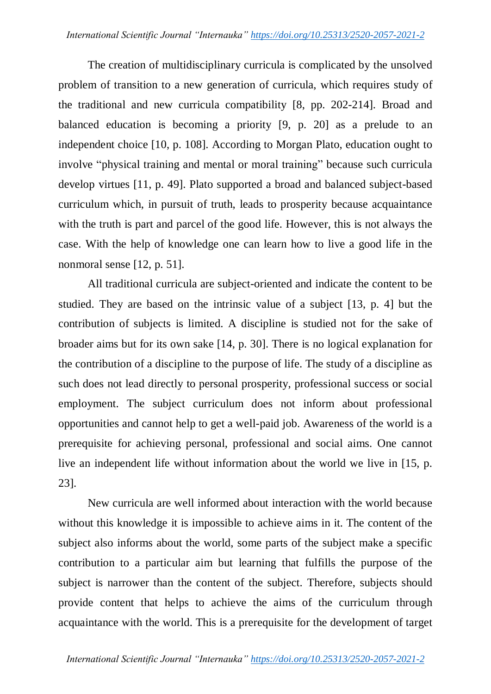The creation of multidisciplinary curricula is complicated by the unsolved problem of transition to a new generation of curricula, which requires study of the traditional and new curricula compatibility [8, pp. 202-214]. Broad and balanced education is becoming a priority [9, p. 20] as a prelude to an independent choice [10, p. 108]. According to Morgan Plato, education ought to involve "physical training and mental or moral training" because such curricula develop virtues [11, p. 49]. Plato supported a broad and balanced subject-based curriculum which, in pursuit of truth, leads to prosperity because acquaintance with the truth is part and parcel of the good life. However, this is not always the case. With the help of knowledge one can learn how to live a good life in the nonmoral sense [12, p. 51].

All traditional curricula are subject-oriented and indicate the content to be studied. They are based on the intrinsic value of a subject [13, p. 4] but the contribution of subjects is limited. A discipline is studied not for the sake of broader aims but for its own sake [14, p. 30]. There is no logical explanation for the contribution of a discipline to the purpose of life. The study of a discipline as such does not lead directly to personal prosperity, professional success or social employment. The subject curriculum does not inform about professional opportunities and cannot help to get a well-paid job. Awareness of the world is a prerequisite for achieving personal, professional and social aims. One cannot live an independent life without information about the world we live in [15, p. 23].

New curricula are well informed about interaction with the world because without this knowledge it is impossible to achieve aims in it. The content of the subject also informs about the world, some parts of the subject make a specific contribution to a particular aim but learning that fulfills the purpose of the subject is narrower than the content of the subject. Therefore, subjects should provide content that helps to achieve the aims of the curriculum through acquaintance with the world. This is a prerequisite for the development of target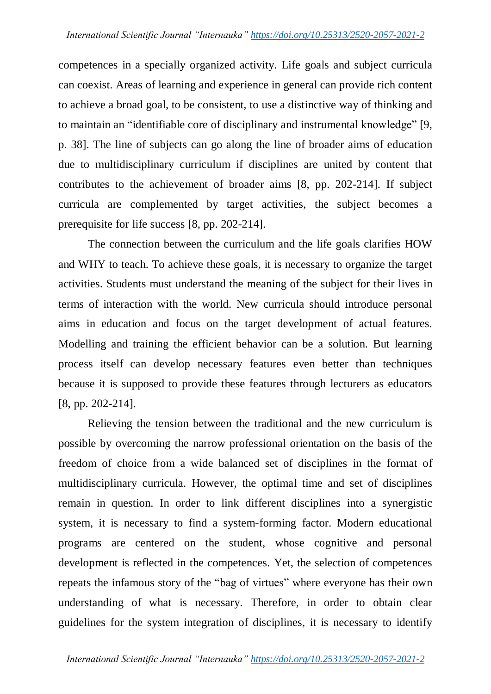competences in a specially organized activity. Life goals and subject curricula can coexist. Areas of learning and experience in general can provide rich content to achieve a broad goal, to be consistent, to use a distinctive way of thinking and to maintain an "identifiable core of disciplinary and instrumental knowledge" [9, p. 38]. The line of subjects can go along the line of broader aims of education due to multidisciplinary curriculum if disciplines are united by content that contributes to the achievement of broader aims [8, pp. 202-214]. If subject curricula are complemented by target activities, the subject becomes a prerequisite for life success [8, pp. 202-214].

The connection between the curriculum and the life goals clarifies HOW and WHY to teach. To achieve these goals, it is necessary to organize the target activities. Students must understand the meaning of the subject for their lives in terms of interaction with the world. New curricula should introduce personal aims in education and focus on the target development of actual features. Modelling and training the efficient behavior can be a solution. But learning process itself can develop necessary features even better than techniques because it is supposed to provide these features through lecturers as educators [8, pp. 202-214].

Relieving the tension between the traditional and the new curriculum is possible by overcoming the narrow professional orientation on the basis of the freedom of choice from a wide balanced set of disciplines in the format of multidisciplinary curricula. However, the optimal time and set of disciplines remain in question. In order to link different disciplines into a synergistic system, it is necessary to find a system-forming factor. Modern educational programs are centered on the student, whose cognitive and personal development is reflected in the competences. Yet, the selection of competences repeats the infamous story of the "bag of virtues" where everyone has their own understanding of what is necessary. Therefore, in order to obtain clear guidelines for the system integration of disciplines, it is necessary to identify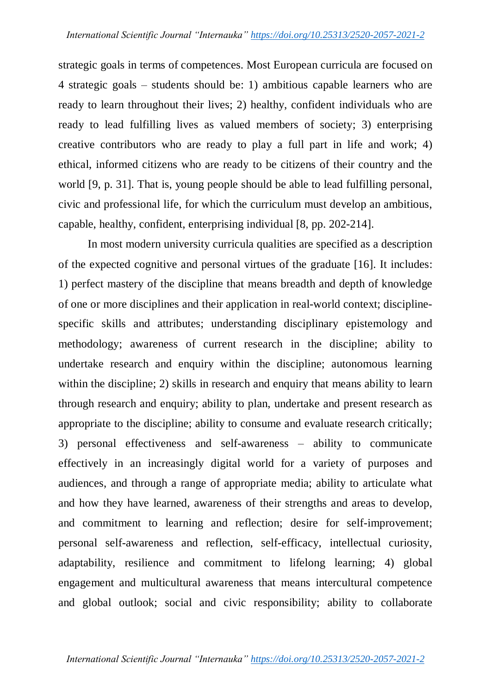strategic goals in terms of competences. Most European curricula are focused on 4 strategic goals – students should be: 1) ambitious capable learners who are ready to learn throughout their lives; 2) healthy, confident individuals who are ready to lead fulfilling lives as valued members of society; 3) enterprising creative contributors who are ready to play a full part in life and work; 4) ethical, informed citizens who are ready to be citizens of their country and the world [9, p. 31]. That is, young people should be able to lead fulfilling personal, civic and professional life, for which the curriculum must develop an ambitious, capable, healthy, confident, enterprising individual [8, pp. 202-214].

In most modern university curricula qualities are specified as a description of the expected cognitive and personal virtues of the graduate [16]. It includes: 1) perfect mastery of the discipline that means breadth and depth of knowledge of one or more disciplines and their application in real-world context; disciplinespecific skills and attributes; understanding disciplinary epistemology and methodology; awareness of current research in the discipline; ability to undertake research and enquiry within the discipline; autonomous learning within the discipline; 2) skills in research and enquiry that means ability to learn through research and enquiry; ability to plan, undertake and present research as appropriate to the discipline; ability to consume and evaluate research critically; 3) personal effectiveness and self-awareness – ability to communicate effectively in an increasingly digital world for a variety of purposes and audiences, and through a range of appropriate media; ability to articulate what and how they have learned, awareness of their strengths and areas to develop, and commitment to learning and reflection; desire for self-improvement; personal self-awareness and reflection, self-efficacy, intellectual curiosity, adaptability, resilience and commitment to lifelong learning; 4) global engagement and multicultural awareness that means intercultural competence and global outlook; social and civic responsibility; ability to collaborate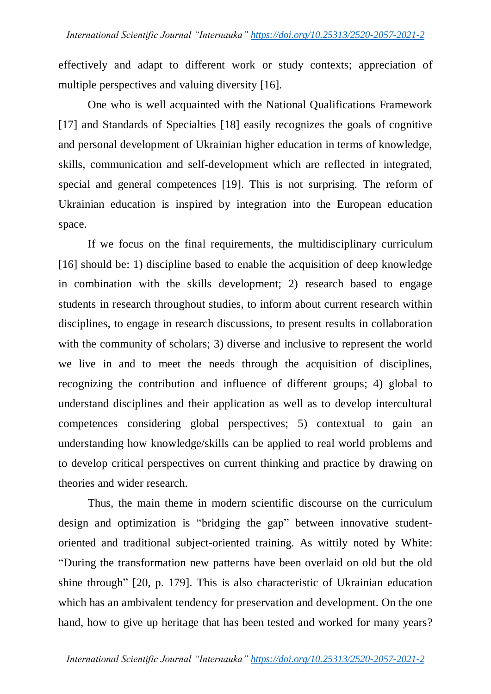effectively and adapt to different work or study contexts; appreciation of multiple perspectives and valuing diversity [16].

One who is well acquainted with the National Qualifications Framework [17] and Standards of Specialties [18] easily recognizes the goals of cognitive and personal development of Ukrainian higher education in terms of knowledge, skills, communication and self-development which are reflected in integrated, special and general competences [19]. This is not surprising. The reform of Ukrainian education is inspired by integration into the European education space.

If we focus on the final requirements, the multidisciplinary curriculum [16] should be: 1) discipline based to enable the acquisition of deep knowledge in combination with the skills development; 2) research based to engage students in research throughout studies, to inform about current research within disciplines, to engage in research discussions, to present results in collaboration with the community of scholars; 3) diverse and inclusive to represent the world we live in and to meet the needs through the acquisition of disciplines, recognizing the contribution and influence of different groups; 4) global to understand disciplines and their application as well as to develop intercultural competences considering global perspectives; 5) contextual to gain an understanding how knowledge/skills can be applied to real world problems and to develop critical perspectives on current thinking and practice by drawing on theories and wider research.

Thus, the main theme in modern scientific discourse on the curriculum design and optimization is "bridging the gap" between innovative studentoriented and traditional subject-oriented training. As wittily noted by White: "During the transformation new patterns have been overlaid on old but the old shine through" [20, p. 179]. This is also characteristic of Ukrainian education which has an ambivalent tendency for preservation and development. On the one hand, how to give up heritage that has been tested and worked for many years?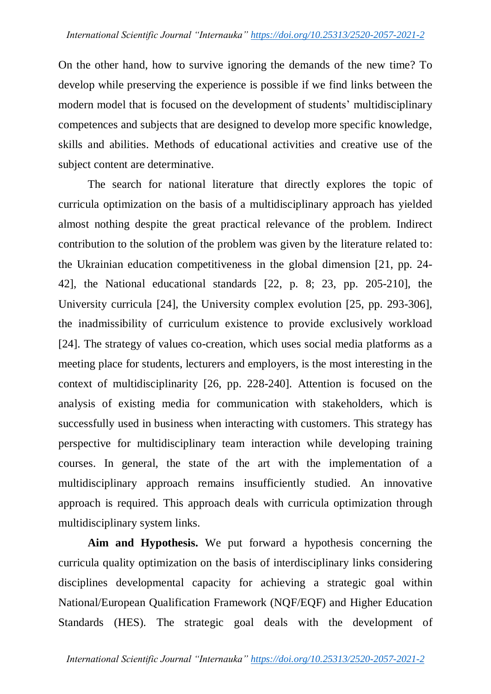On the other hand, how to survive ignoring the demands of the new time? To develop while preserving the experience is possible if we find links between the modern model that is focused on the development of students' multidisciplinary competences and subjects that are designed to develop more specific knowledge, skills and abilities. Methods of educational activities and creative use of the subject content are determinative.

The search for national literature that directly explores the topic of curricula optimization on the basis of a multidisciplinary approach has yielded almost nothing despite the great practical relevance of the problem. Indirect contribution to the solution of the problem was given by the literature related to: the Ukrainian education competitiveness in the global dimension [21, pp. 24- 42], the National educational standards [22, p. 8; 23, pp. 205-210], the University curricula [24], the University complex evolution [25, pp. 293-306], the inadmissibility of curriculum existence to provide exclusively workload [24]. The strategy of values co-creation, which uses social media platforms as a meeting place for students, lecturers and employers, is the most interesting in the context of multidisciplinarity [26, pp. 228-240]. Attention is focused on the analysis of existing media for communication with stakeholders, which is successfully used in business when interacting with customers. This strategy has perspective for multidisciplinary team interaction while developing training courses. In general, the state of the art with the implementation of a multidisciplinary approach remains insufficiently studied. An innovative approach is required. This approach deals with curricula optimization through multidisciplinary system links.

**Aim and Hypothesis.** We put forward a hypothesis concerning the curricula quality optimization on the basis of interdisciplinary links considering disciplines developmental capacity for achieving a strategic goal within National/European Qualification Framework (NQF/EQF) and Higher Education Standards (HES). The strategic goal deals with the development of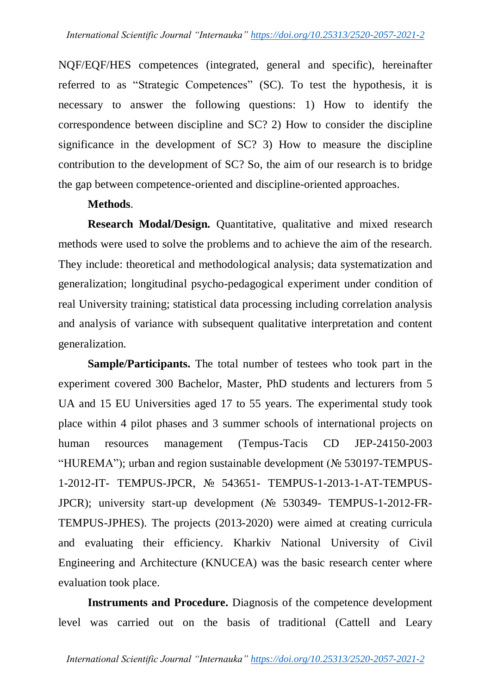NQF/EQF/HES competences (integrated, general and specific), hereinafter referred to as "Strategic Competences" (SC). To test the hypothesis, it is necessary to answer the following questions: 1) How to identify the correspondence between discipline and SC? 2) How to consider the discipline significance in the development of SC? 3) How to measure the discipline contribution to the development of SC? So, the aim of our research is to bridge the gap between competence-oriented and discipline-oriented approaches.

### **Methods**.

**Research Modal/Design.** Quantitative, qualitative and mixed research methods were used to solve the problems and to achieve the aim of the research. They include: theoretical and methodological analysis; data systematization and generalization; longitudinal psycho-pedagogical experiment under condition of real University training; statistical data processing including correlation analysis and analysis of variance with subsequent qualitative interpretation and content generalization.

**Sample/Participants.** The total number of testees who took part in the experiment covered 300 Bachelor, Master, PhD students and lecturers from 5 UA and 15 EU Universities aged 17 to 55 years. The experimental study took place within 4 pilot phases and 3 summer schools of international projects on human resources management (Tempus-Tacis CD JEP-24150-2003 "HUREMA"); urban and region sustainable development (№ 530197-TEMPUS-1-2012-IT- TEMPUS-JPCR, № 543651- TEMPUS-1-2013-1-AT-TEMPUS-JPCR); university start-up development (№ 530349- TEMPUS-1-2012-FR-TEMPUS-JPHES). The projects (2013-2020) were aimed at creating curricula and evaluating their efficiency. Kharkiv National University of Civil Engineering and Architecture (KNUCEA) was the basic research center where evaluation took place.

**Instruments and Procedure.** Diagnosis of the competence development level was carried out on the basis of traditional (Cattell and Leary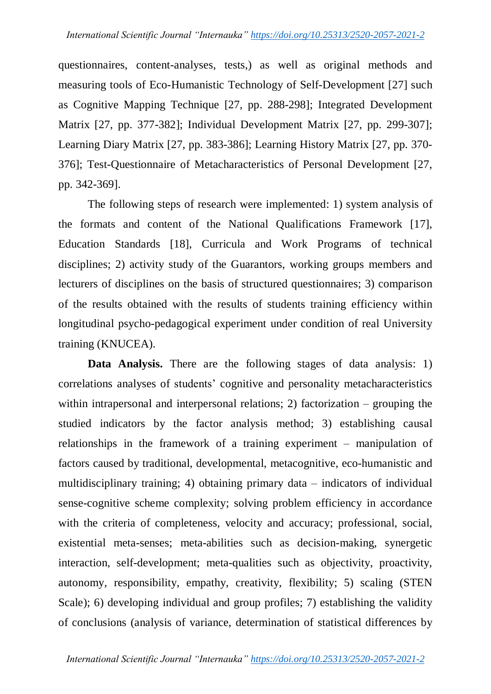questionnaires, content-analyses, tests,) as well as original methods and measuring tools of Eco-Humanistic Technology of Self-Development [27] such as Cognitive Mapping Technique [27, pp. 288-298]; Integrated Development Matrix [27, pp. 377-382]; Individual Development Matrix [27, pp. 299-307]; Learning Diary Matrix [27, pp. 383-386]; Learning History Matrix [27, pp. 370- 376]; Test-Questionnaire of Metacharacteristics of Personal Development [27, pp. 342-369].

The following steps of research were implemented: 1) system analysis of the formats and content of the National Qualifications Framework [17], Education Standards [18], Curricula and Work Programs of technical disciplines; 2) activity study of the Guarantors, working groups members and lecturers of disciplines on the basis of structured questionnaires; 3) comparison of the results obtained with the results of students training efficiency within longitudinal psycho-pedagogical experiment under condition of real University training (KNUCEA).

**Data Analysis.** There are the following stages of data analysis: 1) correlations analyses of students" cognitive and personality metacharacteristics within intrapersonal and interpersonal relations; 2) factorization – grouping the studied indicators by the factor analysis method; 3) establishing causal relationships in the framework of a training experiment – manipulation of factors caused by traditional, developmental, metacognitive, eco-humanistic and multidisciplinary training; 4) obtaining primary data – indicators of individual sense-cognitive scheme complexity; solving problem efficiency in accordance with the criteria of completeness, velocity and accuracy; professional, social, existential meta-senses; meta-abilities such as decision-making, synergetic interaction, self-development; meta-qualities such as objectivity, proactivity, autonomy, responsibility, empathy, creativity, flexibility; 5) scaling (STEN Scale); 6) developing individual and group profiles; 7) establishing the validity of conclusions (analysis of variance, determination of statistical differences by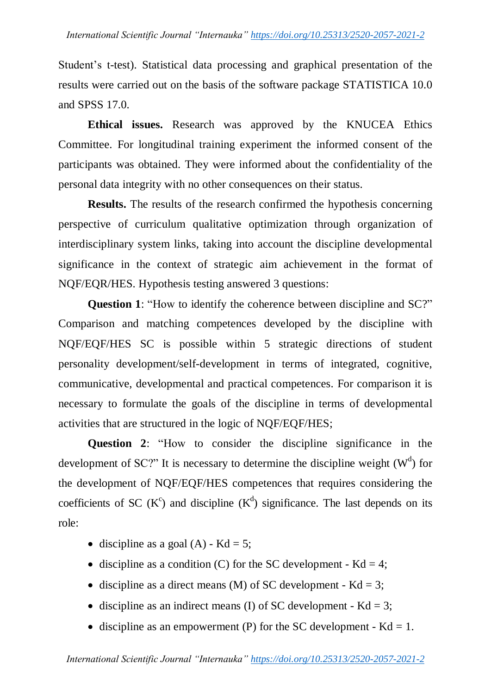Student"s t-test). Statistical data processing and graphical presentation of the results were carried out on the basis of the software package STATISTICA 10.0 and SPSS 17.0.

**Ethical issues.** Research was approved by the KNUCEA Ethics Committee. For longitudinal training experiment the informed consent of the participants was obtained. They were informed about the confidentiality of the personal data integrity with no other consequences on their status.

**Results.** The results of the research confirmed the hypothesis concerning perspective of curriculum qualitative optimization through organization of interdisciplinary system links, taking into account the discipline developmental significance in the context of strategic aim achievement in the format of NQF/EQR/HES. Hypothesis testing answered 3 questions:

**Question 1:** "How to identify the coherence between discipline and SC?" Comparison and matching competences developed by the discipline with NQF/EQF/HES SC is possible within 5 strategic directions of student personality development/self-development in terms of integrated, cognitive, communicative, developmental and practical competences. For comparison it is necessary to formulate the goals of the discipline in terms of developmental activities that are structured in the logic of NQF/EQF/HES;

**Question 2**: "How to consider the discipline significance in the development of SC?" It is necessary to determine the discipline weight  $(W<sup>d</sup>)$  for the development of NQF/EQF/HES competences that requires considering the coefficients of SC ( $K^c$ ) and discipline ( $K^d$ ) significance. The last depends on its role:

- discipline as a goal  $(A)$  Kd = 5;
- discipline as a condition (C) for the SC development  $Kd = 4$ ;
- discipline as a direct means (M) of SC development  $Kd = 3$ ;
- discipline as an indirect means (I) of SC development  $Kd = 3$ ;
- discipline as an empowerment (P) for the SC development  $Kd = 1$ .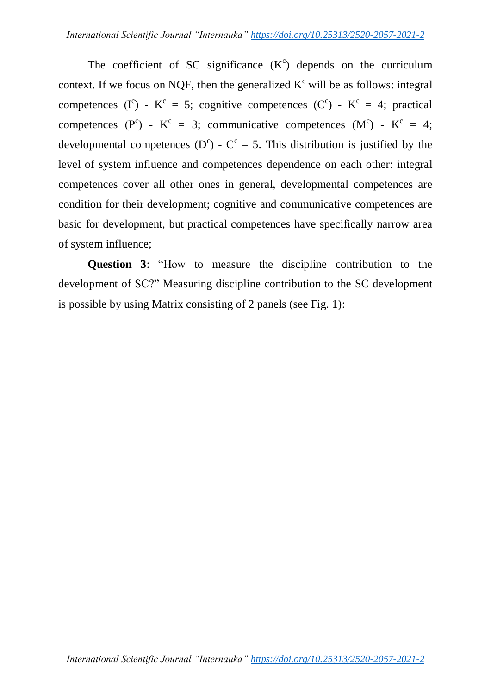The coefficient of SC significance  $(K<sup>c</sup>)$  depends on the curriculum context. If we focus on NQF, then the generalized  $K^c$  will be as follows: integral competences (I<sup>c</sup>) - K<sup>c</sup> = 5; cognitive competences (C<sup>c</sup>) - K<sup>c</sup> = 4; practical competences (P<sup>c</sup>) - K<sup>c</sup> = 3; communicative competences (M<sup>c</sup>) - K<sup>c</sup> = 4; developmental competences (D<sup>c</sup>) - C<sup>c</sup> = 5. This distribution is justified by the level of system influence and competences dependence on each other: integral competences cover all other ones in general, developmental competences are condition for their development; cognitive and communicative competences are basic for development, but practical competences have specifically narrow area of system influence;

**Question 3**: "How to measure the discipline contribution to the development of SC?" Measuring discipline contribution to the SC development is possible by using Matrix consisting of 2 panels (see Fig. 1):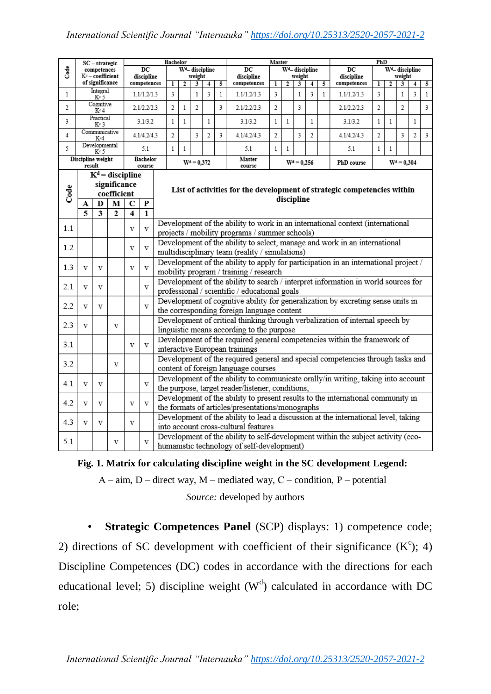|                             | SC – strategic<br>competences<br>Kº – coefficient<br>of significance                                                                |   |                                                                                                                                          |                         |                           |                                                                                                                                     | Bachelor                                                                        |                |                            |              | Master                                                                         |                                 |              |              |              |              | PhD                       |                                 |               |                |   |              |
|-----------------------------|-------------------------------------------------------------------------------------------------------------------------------------|---|------------------------------------------------------------------------------------------------------------------------------------------|-------------------------|---------------------------|-------------------------------------------------------------------------------------------------------------------------------------|---------------------------------------------------------------------------------|----------------|----------------------------|--------------|--------------------------------------------------------------------------------|---------------------------------|--------------|--------------|--------------|--------------|---------------------------|---------------------------------|---------------|----------------|---|--------------|
| ತೆ                          |                                                                                                                                     |   |                                                                                                                                          |                         | DC                        |                                                                                                                                     |                                                                                 |                | W <sup>d</sup> -discipline |              | DC                                                                             | W <sup>d</sup> -discipline      |              |              |              |              | DC                        | W <sup>d</sup> -discipline      |               |                |   |              |
|                             |                                                                                                                                     |   |                                                                                                                                          |                         | discipline<br>competences |                                                                                                                                     | weight<br>5<br>ı<br>2<br>3<br>4                                                 |                |                            |              | discipline<br>competences                                                      | weight<br>5<br>ı<br>2<br>3<br>4 |              |              |              |              | discipline<br>competences | weight<br>ı<br>2<br>3<br>4<br>5 |               |                |   |              |
| $\mathbf{1}$                | Integral<br>K°5                                                                                                                     |   |                                                                                                                                          | 1.1/1.2/1.3             |                           | 3                                                                                                                                   |                                                                                 | 1              | 3                          | $\mathbf{1}$ | 1.1/1.2/1.3                                                                    | 3                               |              | $\mathbf{1}$ | 3            | $\mathbf{1}$ | 1.1/1.2/1.3               | 3                               |               | 1              | 3 | $\mathbf{1}$ |
| 2                           | Cognitive<br>Kº4                                                                                                                    |   |                                                                                                                                          | 2.1/2.2/2.3             |                           | $\overline{2}$                                                                                                                      | $\mathbf{1}$                                                                    | $\overline{2}$ |                            | 3            | 2.1/2.2/2.3                                                                    | $\mathfrak{p}$                  |              | 3            |              |              | 2.1/2.2/2.3               | 2                               |               | $\mathfrak{p}$ |   | 3            |
| 3                           | Practical<br>K°3                                                                                                                    |   |                                                                                                                                          | 3.1/3.2                 |                           | $\mathbf{1}$                                                                                                                        | $\mathbf{1}$                                                                    |                | $\mathbf{1}$               |              | 3.1/3.2                                                                        | $\mathbf{1}$                    | 1            |              | $\mathbf{1}$ |              | 3.1/3.2                   | 1                               | $\mathbf{1}$  |                | 1 |              |
| 4                           | Communicative<br>K-4                                                                                                                |   |                                                                                                                                          | 4.1/4.2/4.3             |                           | 2                                                                                                                                   |                                                                                 | 3              | 2                          | 3            | 4.1/4.2/4.3                                                                    | 2                               |              | 3            | 2            |              | 4.1/4.2/4.3               | 2                               |               | 3              | 2 | 3            |
| 5                           | Developmental<br>K°5                                                                                                                |   |                                                                                                                                          |                         | 5.1                       | $\mathbf{1}$                                                                                                                        | $\mathbf{1}$                                                                    |                |                            |              | 5.1                                                                            | $\mathbf{1}$                    | $\mathbf{1}$ |              |              |              | 5.1                       | $\mathbf{1}$                    | $\mathbf{1}$  |                |   |              |
| Discipline weight<br>result |                                                                                                                                     |   |                                                                                                                                          |                         | Bachelor<br>course        |                                                                                                                                     |                                                                                 | $W^d = 0.372$  |                            |              | Master<br>course                                                               | $W^d = 0.256$<br>PhD course     |              |              |              |              |                           |                                 | $W^d = 0.304$ |                |   |              |
|                             |                                                                                                                                     |   | $\overline{\mathbf{K}}^d$ = discipline                                                                                                   |                         |                           |                                                                                                                                     |                                                                                 |                |                            |              |                                                                                |                                 |              |              |              |              |                           |                                 |               |                |   |              |
|                             | significance<br>coefficient                                                                                                         |   |                                                                                                                                          |                         |                           | List of activities for the development of strategic competencies within                                                             |                                                                                 |                |                            |              |                                                                                |                                 |              |              |              |              |                           |                                 |               |                |   |              |
| Code                        | А                                                                                                                                   | D | M                                                                                                                                        | C                       | ${\bf P}$                 | discipline                                                                                                                          |                                                                                 |                |                            |              |                                                                                |                                 |              |              |              |              |                           |                                 |               |                |   |              |
|                             | $\overline{5}$                                                                                                                      | 3 | $\overline{2}$                                                                                                                           | $\overline{\mathbf{4}}$ | $\overline{\mathbf{1}}$   |                                                                                                                                     |                                                                                 |                |                            |              |                                                                                |                                 |              |              |              |              |                           |                                 |               |                |   |              |
| 1.1                         |                                                                                                                                     |   |                                                                                                                                          | $_{\rm V}$              | v                         | Development of the ability to work in an international context (international                                                       |                                                                                 |                |                            |              |                                                                                |                                 |              |              |              |              |                           |                                 |               |                |   |              |
|                             |                                                                                                                                     |   |                                                                                                                                          |                         |                           | projects / mobility programs / summer schools)                                                                                      |                                                                                 |                |                            |              |                                                                                |                                 |              |              |              |              |                           |                                 |               |                |   |              |
| 1.2                         |                                                                                                                                     |   |                                                                                                                                          | V                       | V                         | Development of the ability to select, manage and work in an international<br>multidisciplinary team (reality / simulations)         |                                                                                 |                |                            |              |                                                                                |                                 |              |              |              |              |                           |                                 |               |                |   |              |
| 1.3                         | V                                                                                                                                   | v |                                                                                                                                          | V                       | v                         | Development of the ability to apply for participation in an international project /                                                 |                                                                                 |                |                            |              |                                                                                |                                 |              |              |              |              |                           |                                 |               |                |   |              |
|                             |                                                                                                                                     |   |                                                                                                                                          |                         |                           |                                                                                                                                     | mobility program / training / research                                          |                |                            |              |                                                                                |                                 |              |              |              |              |                           |                                 |               |                |   |              |
| 2.1                         | $\mathbf{V}$                                                                                                                        | v |                                                                                                                                          | V                       |                           | Development of the ability to search / interpret information in world sources for<br>professional / scientific / educational goals  |                                                                                 |                |                            |              |                                                                                |                                 |              |              |              |              |                           |                                 |               |                |   |              |
|                             | V                                                                                                                                   | V |                                                                                                                                          |                         | V                         |                                                                                                                                     | Development of cognitive ability for generalization by excreting sense units in |                |                            |              |                                                                                |                                 |              |              |              |              |                           |                                 |               |                |   |              |
| 2.2                         |                                                                                                                                     |   |                                                                                                                                          |                         |                           | the corresponding foreign language content                                                                                          |                                                                                 |                |                            |              |                                                                                |                                 |              |              |              |              |                           |                                 |               |                |   |              |
| 2.3                         | Development of critical thinking through verbalization of internal speech by<br>V<br>v<br>linguistic means according to the purpose |   |                                                                                                                                          |                         |                           |                                                                                                                                     |                                                                                 |                |                            |              |                                                                                |                                 |              |              |              |              |                           |                                 |               |                |   |              |
|                             |                                                                                                                                     |   |                                                                                                                                          |                         |                           |                                                                                                                                     |                                                                                 |                |                            |              |                                                                                |                                 |              |              |              |              |                           |                                 |               |                |   |              |
| 3.1                         |                                                                                                                                     |   |                                                                                                                                          | $\mathbf v$             | V                         | Development of the required general competencies within the framework of<br>interactive European trainings                          |                                                                                 |                |                            |              |                                                                                |                                 |              |              |              |              |                           |                                 |               |                |   |              |
| 3.2                         |                                                                                                                                     |   | V                                                                                                                                        |                         |                           |                                                                                                                                     |                                                                                 |                |                            |              | Development of the required general and special competencies through tasks and |                                 |              |              |              |              |                           |                                 |               |                |   |              |
|                             | content of foreign language courses<br>Development of the ability to communicate orally/in writing, taking into account             |   |                                                                                                                                          |                         |                           |                                                                                                                                     |                                                                                 |                |                            |              |                                                                                |                                 |              |              |              |              |                           |                                 |               |                |   |              |
| 4.1                         | v                                                                                                                                   | v |                                                                                                                                          |                         | V                         |                                                                                                                                     |                                                                                 |                |                            |              |                                                                                |                                 |              |              |              |              |                           |                                 |               |                |   |              |
| 4.2                         |                                                                                                                                     | v |                                                                                                                                          | $\overline{\mathbf{V}}$ |                           | the purpose, target reader/listener, conditions;<br>Development of the ability to present results to the international community in |                                                                                 |                |                            |              |                                                                                |                                 |              |              |              |              |                           |                                 |               |                |   |              |
|                             | $\overline{\mathbf{V}}$                                                                                                             |   |                                                                                                                                          |                         | V                         | the formats of articles/presentations/monographs                                                                                    |                                                                                 |                |                            |              |                                                                                |                                 |              |              |              |              |                           |                                 |               |                |   |              |
| 4.3                         | V                                                                                                                                   | V |                                                                                                                                          | $_{\rm V}$              |                           | Development of the ability to lead a discussion at the international level, taking<br>into account cross-cultural features          |                                                                                 |                |                            |              |                                                                                |                                 |              |              |              |              |                           |                                 |               |                |   |              |
|                             |                                                                                                                                     |   |                                                                                                                                          |                         |                           |                                                                                                                                     |                                                                                 |                |                            |              |                                                                                |                                 |              |              |              |              |                           |                                 |               |                |   |              |
| 5.1                         |                                                                                                                                     |   | Development of the ability to self-development within the subject activity (eco-<br>V<br>v<br>humanistic technology of self-development) |                         |                           |                                                                                                                                     |                                                                                 |                |                            |              |                                                                                |                                 |              |              |              |              |                           |                                 |               |                |   |              |

**Fig. 1. Matrix for calculating discipline weight in the SC development Legend:**

 $A - aim$ ,  $D - direct way$ ,  $M - mediated way$ ,  $C - condition$ ,  $P - potential$ 

*Source:* developed by authors

• **Strategic Competences Panel** (SCP) displays: 1) competence code; 2) directions of SC development with coefficient of their significance  $(K^c)$ ; 4) Discipline Competences (DC) codes in accordance with the directions for each educational level; 5) discipline weight  $(W<sup>d</sup>)$  calculated in accordance with DC role;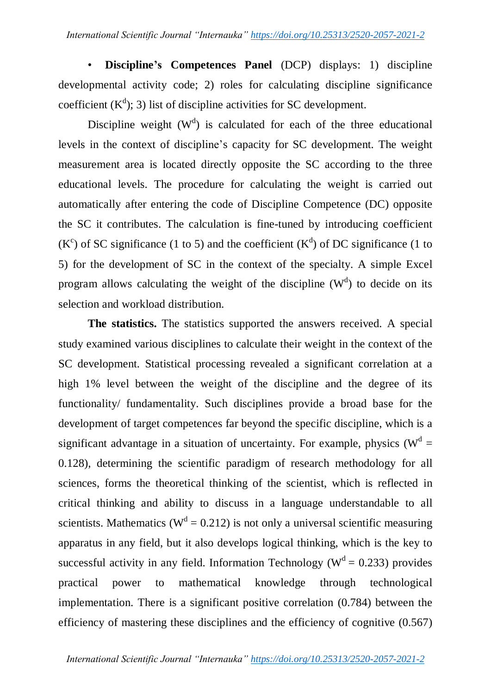• **Discipline's Competences Panel** (DCP) displays: 1) discipline developmental activity code; 2) roles for calculating discipline significance coefficient  $(K^d)$ ; 3) list of discipline activities for SC development.

Discipline weight  $(W<sup>d</sup>)$  is calculated for each of the three educational levels in the context of discipline"s capacity for SC development. The weight measurement area is located directly opposite the SC according to the three educational levels. The procedure for calculating the weight is carried out automatically after entering the code of Discipline Competence (DC) opposite the SC it contributes. The calculation is fine-tuned by introducing coefficient  $(K^c)$  of SC significance (1 to 5) and the coefficient  $(K^d)$  of DC significance (1 to 5) for the development of SC in the context of the specialty. A simple Excel program allows calculating the weight of the discipline  $(W<sup>d</sup>)$  to decide on its selection and workload distribution.

**The statistics.** The statistics supported the answers received. A special study examined various disciplines to calculate their weight in the context of the SC development. Statistical processing revealed a significant correlation at a high 1% level between the weight of the discipline and the degree of its functionality/ fundamentality. Such disciplines provide a broad base for the development of target competences far beyond the specific discipline, which is a significant advantage in a situation of uncertainty. For example, physics ( $W<sup>d</sup>$  = 0.128), determining the scientific paradigm of research methodology for all sciences, forms the theoretical thinking of the scientist, which is reflected in critical thinking and ability to discuss in a language understandable to all scientists. Mathematics ( $W<sup>d</sup> = 0.212$ ) is not only a universal scientific measuring apparatus in any field, but it also develops logical thinking, which is the key to successful activity in any field. Information Technology ( $W<sup>d</sup> = 0.233$ ) provides practical power to mathematical knowledge through technological implementation. There is a significant positive correlation (0.784) between the efficiency of mastering these disciplines and the efficiency of cognitive (0.567)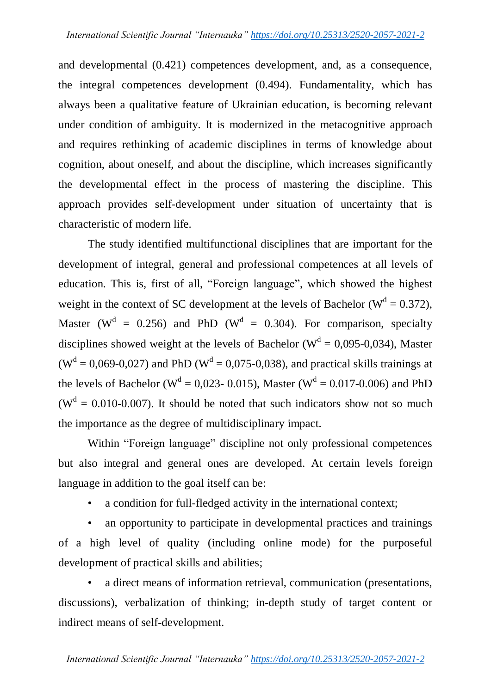and developmental (0.421) competences development, and, as a consequence, the integral competences development (0.494). Fundamentality, which has always been a qualitative feature of Ukrainian education, is becoming relevant under condition of ambiguity. It is modernized in the metacognitive approach and requires rethinking of academic disciplines in terms of knowledge about cognition, about oneself, and about the discipline, which increases significantly the developmental effect in the process of mastering the discipline. This approach provides self-development under situation of uncertainty that is characteristic of modern life.

The study identified multifunctional disciplines that are important for the development of integral, general and professional competences at all levels of education. This is, first of all, "Foreign language", which showed the highest weight in the context of SC development at the levels of Bachelor ( $W^d = 0.372$ ), Master ( $W^d = 0.256$ ) and PhD ( $W^d = 0.304$ ). For comparison, specialty disciplines showed weight at the levels of Bachelor ( $W<sup>d</sup> = 0.095$ -0.034), Master  $(W<sup>d</sup> = 0,069-0,027)$  and PhD ( $W<sup>d</sup> = 0,075-0,038$ ), and practical skills trainings at the levels of Bachelor ( $W^d = 0.023 - 0.015$ ), Master ( $W^d = 0.017 - 0.006$ ) and PhD ( $W<sup>d</sup> = 0.010$ -0.007). It should be noted that such indicators show not so much the importance as the degree of multidisciplinary impact.

Within "Foreign language" discipline not only professional competences but also integral and general ones are developed. At certain levels foreign language in addition to the goal itself can be:

a condition for full-fledged activity in the international context;

• an opportunity to participate in developmental practices and trainings of a high level of quality (including online mode) for the purposeful development of practical skills and abilities;

• a direct means of information retrieval, communication (presentations, discussions), verbalization of thinking; in-depth study of target content or indirect means of self-development.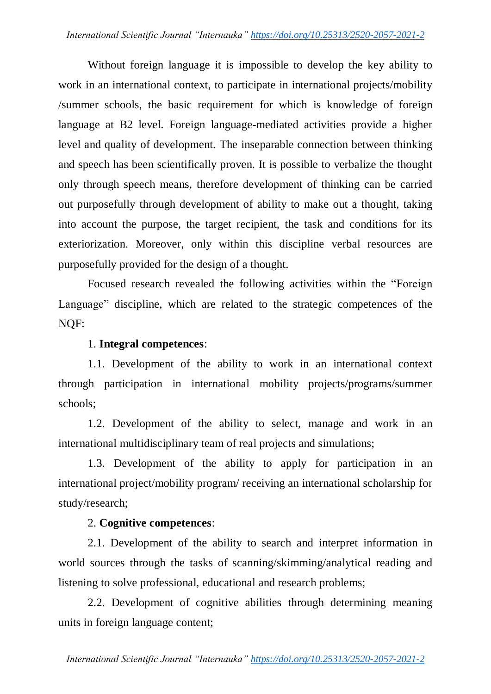Without foreign language it is impossible to develop the key ability to work in an international context, to participate in international projects/mobility /summer schools, the basic requirement for which is knowledge of foreign language at B2 level. Foreign language-mediated activities provide a higher level and quality of development. The inseparable connection between thinking and speech has been scientifically proven. It is possible to verbalize the thought only through speech means, therefore development of thinking can be carried out purposefully through development of ability to make out a thought, taking into account the purpose, the target recipient, the task and conditions for its exteriorization. Moreover, only within this discipline verbal resources are purposefully provided for the design of a thought.

Focused research revealed the following activities within the "Foreign Language" discipline, which are related to the strategic competences of the NQF:

# 1. **Integral competences**:

1.1. Development of the ability to work in an international context through participation in international mobility projects/programs/summer schools;

1.2. Development of the ability to select, manage and work in an international multidisciplinary team of real projects and simulations;

1.3. Development of the ability to apply for participation in an international project/mobility program/ receiving an international scholarship for study/research;

# 2. **Cognitive competences**:

2.1. Development of the ability to search and interpret information in world sources through the tasks of scanning/skimming/analytical reading and listening to solve professional, educational and research problems;

2.2. Development of cognitive abilities through determining meaning units in foreign language content;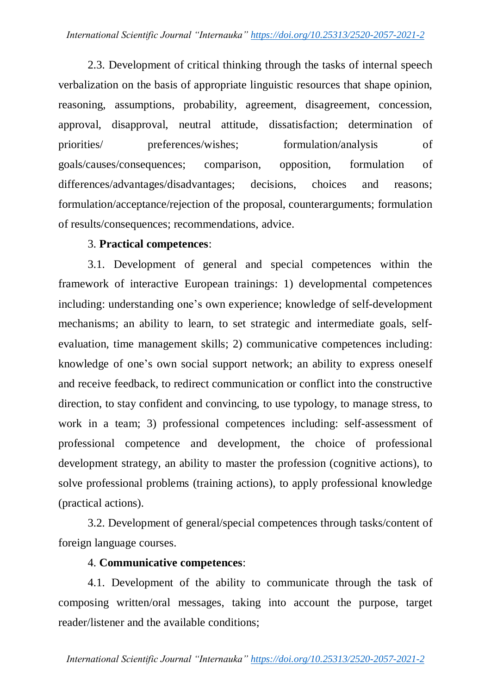2.3. Development of critical thinking through the tasks of internal speech verbalization on the basis of appropriate linguistic resources that shape opinion, reasoning, assumptions, probability, agreement, disagreement, concession, approval, disapproval, neutral attitude, dissatisfaction; determination of priorities/ preferences/wishes; formulation/analysis of goals/causes/consequences; comparison, opposition, formulation of differences/advantages/disadvantages; decisions, choices and reasons; formulation/acceptance/rejection of the proposal, counterarguments; formulation of results/consequences; recommendations, advice.

# 3. **Practical competences**:

3.1. Development of general and special competences within the framework of interactive European trainings: 1) developmental competences including: understanding one's own experience; knowledge of self-development mechanisms; an ability to learn, to set strategic and intermediate goals, selfevaluation, time management skills; 2) communicative competences including: knowledge of one"s own social support network; an ability to express oneself and receive feedback, to redirect communication or conflict into the constructive direction, to stay confident and convincing, to use typology, to manage stress, to work in a team; 3) professional competences including: self-assessment of professional competence and development, the choice of professional development strategy, an ability to master the profession (cognitive actions), to solve professional problems (training actions), to apply professional knowledge (practical actions).

3.2. Development of general/special competences through tasks/content of foreign language courses.

# 4. **Communicative competences**:

4.1. Development of the ability to communicate through the task of composing written/oral messages, taking into account the purpose, target reader/listener and the available conditions;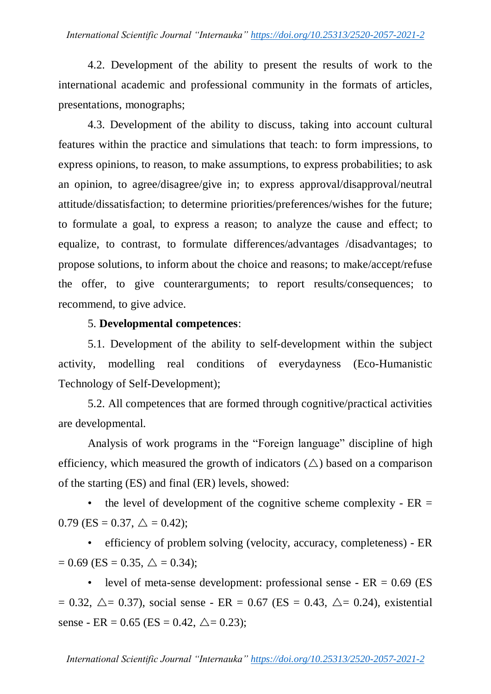4.2. Development of the ability to present the results of work to the international academic and professional community in the formats of articles, presentations, monographs;

4.3. Development of the ability to discuss, taking into account cultural features within the practice and simulations that teach: to form impressions, to express opinions, to reason, to make assumptions, to express probabilities; to ask an opinion, to agree/disagree/give in; to express approval/disapproval/neutral attitude/dissatisfaction; to determine priorities/preferences/wishes for the future; to formulate a goal, to express a reason; to analyze the cause and effect; to equalize, to contrast, to formulate differences/advantages /disadvantages; to propose solutions, to inform about the choice and reasons; to make/accept/refuse the offer, to give counterarguments; to report results/consequences; to recommend, to give advice.

## 5. **Developmental competences**:

5.1. Development of the ability to self-development within the subject activity, modelling real conditions of everydayness (Eco-Humanistic Technology of Self-Development);

5.2. All competences that are formed through cognitive/practical activities are developmental.

Analysis of work programs in the "Foreign language" discipline of high efficiency, which measured the growth of indicators  $(\triangle)$  based on a comparison of the starting (ES) and final (ER) levels, showed:

the level of development of the cognitive scheme complexity -  $ER =$  $0.79$  (ES = 0.37,  $\triangle$  = 0.42);

• efficiency of problem solving (velocity, accuracy, completeness) - ER  $= 0.69$  (ES  $= 0.35, \triangle = 0.34$ );

• level of meta-sense development: professional sense -  $ER = 0.69$  (ES  $= 0.32, \triangle = 0.37$ , social sense - ER = 0.67 (ES = 0.43,  $\triangle = 0.24$ ), existential sense - ER = 0.65 (ES = 0.42,  $\triangle$  = 0.23);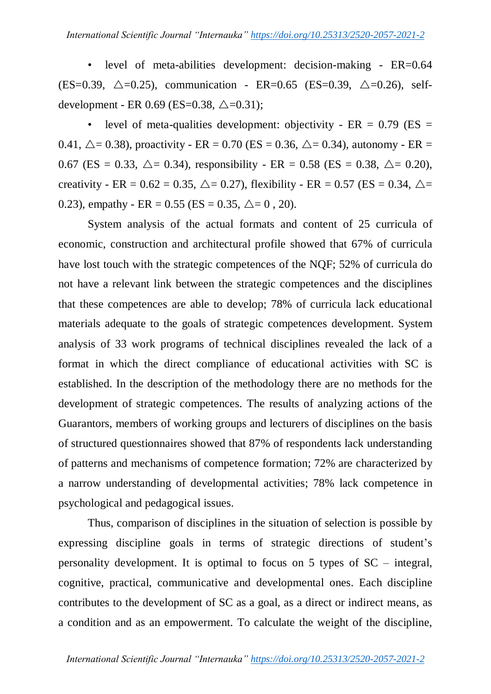• level of meta-abilities development: decision-making - ER=0.64 (ES=0.39,  $\triangle$ =0.25), communication - ER=0.65 (ES=0.39,  $\triangle$ =0.26), selfdevelopment - ER 0.69 (ES=0.38,  $\triangle$ =0.31);

level of meta-qualities development: objectivity -  $ER = 0.79$  ( $ES =$ 0.41,  $\triangle = 0.38$ ), proactivity - ER = 0.70 (ES = 0.36,  $\triangle = 0.34$ ), autonomy - ER = 0.67 (ES = 0.33,  $\triangle$  = 0.34), responsibility - ER = 0.58 (ES = 0.38,  $\triangle$  = 0.20), creativity - ER =  $0.62 = 0.35$ ,  $\Delta = 0.27$ ), flexibility - ER =  $0.57$  (ES =  $0.34$ ,  $\Delta =$ 0.23), empathy - ER = 0.55 (ES = 0.35,  $\triangle = 0$ , 20).

System analysis of the actual formats and content of 25 curricula of economic, construction and architectural profile showed that 67% of curricula have lost touch with the strategic competences of the NQF; 52% of curricula do not have a relevant link between the strategic competences and the disciplines that these competences are able to develop; 78% of curricula lack educational materials adequate to the goals of strategic competences development. System analysis of 33 work programs of technical disciplines revealed the lack of a format in which the direct compliance of educational activities with SC is established. In the description of the methodology there are no methods for the development of strategic competences. The results of analyzing actions of the Guarantors, members of working groups and lecturers of disciplines on the basis of structured questionnaires showed that 87% of respondents lack understanding of patterns and mechanisms of competence formation; 72% are characterized by a narrow understanding of developmental activities; 78% lack competence in psychological and pedagogical issues.

Thus, comparison of disciplines in the situation of selection is possible by expressing discipline goals in terms of strategic directions of student's personality development. It is optimal to focus on 5 types of SC – integral, cognitive, practical, communicative and developmental ones. Each discipline contributes to the development of SC as a goal, as a direct or indirect means, as a condition and as an empowerment. To calculate the weight of the discipline,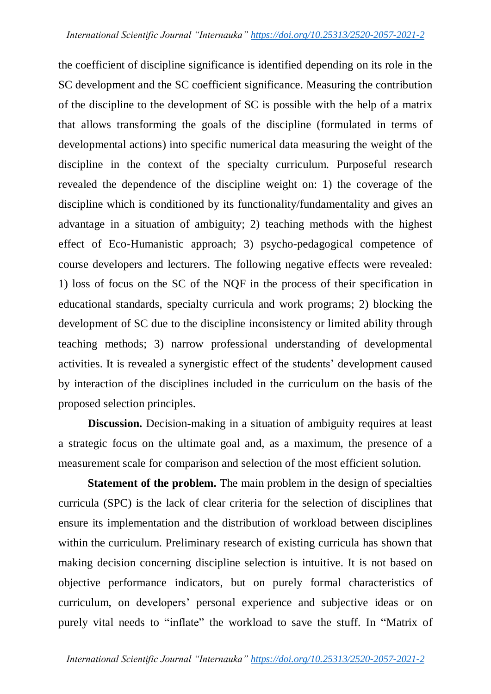the coefficient of discipline significance is identified depending on its role in the SC development and the SC coefficient significance. Measuring the contribution of the discipline to the development of SC is possible with the help of a matrix that allows transforming the goals of the discipline (formulated in terms of developmental actions) into specific numerical data measuring the weight of the discipline in the context of the specialty curriculum. Purposeful research revealed the dependence of the discipline weight on: 1) the coverage of the discipline which is conditioned by its functionality/fundamentality and gives an advantage in a situation of ambiguity; 2) teaching methods with the highest effect of Eco-Humanistic approach; 3) psycho-pedagogical competence of course developers and lecturers. The following negative effects were revealed: 1) loss of focus on the SC of the NQF in the process of their specification in educational standards, specialty curricula and work programs; 2) blocking the development of SC due to the discipline inconsistency or limited ability through teaching methods; 3) narrow professional understanding of developmental activities. It is revealed a synergistic effect of the students" development caused by interaction of the disciplines included in the curriculum on the basis of the proposed selection principles.

**Discussion.** Decision-making in a situation of ambiguity requires at least a strategic focus on the ultimate goal and, as a maximum, the presence of a measurement scale for comparison and selection of the most efficient solution.

**Statement of the problem.** The main problem in the design of specialties curricula (SPC) is the lack of clear criteria for the selection of disciplines that ensure its implementation and the distribution of workload between disciplines within the curriculum. Preliminary research of existing curricula has shown that making decision concerning discipline selection is intuitive. It is not based on objective performance indicators, but on purely formal characteristics of curriculum, on developers" personal experience and subjective ideas or on purely vital needs to "inflate" the workload to save the stuff. In "Matrix of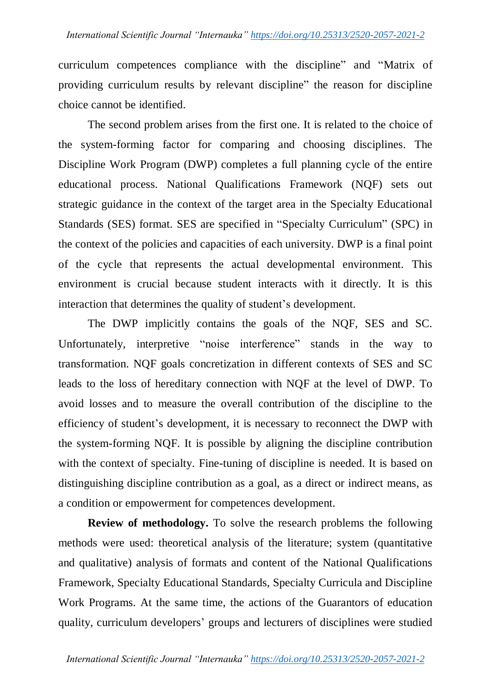curriculum competences compliance with the discipline" and "Matrix of providing curriculum results by relevant discipline" the reason for discipline choice cannot be identified.

The second problem arises from the first one. It is related to the choice of the system-forming factor for comparing and choosing disciplines. The Discipline Work Program (DWP) completes a full planning cycle of the entire educational process. National Qualifications Framework (NQF) sets out strategic guidance in the context of the target area in the Specialty Educational Standards (SES) format. SES are specified in "Specialty Curriculum" (SPC) in the context of the policies and capacities of each university. DWP is a final point of the cycle that represents the actual developmental environment. This environment is crucial because student interacts with it directly. It is this interaction that determines the quality of student's development.

The DWP implicitly contains the goals of the NQF, SES and SC. Unfortunately, interpretive "noise interference" stands in the way to transformation. NQF goals concretization in different contexts of SES and SC leads to the loss of hereditary connection with NQF at the level of DWP. To avoid losses and to measure the overall contribution of the discipline to the efficiency of student"s development, it is necessary to reconnect the DWP with the system-forming NQF. It is possible by aligning the discipline contribution with the context of specialty. Fine-tuning of discipline is needed. It is based on distinguishing discipline contribution as a goal, as a direct or indirect means, as a condition or empowerment for competences development.

**Review of methodology.** To solve the research problems the following methods were used: theoretical analysis of the literature; system (quantitative and qualitative) analysis of formats and content of the National Qualifications Framework, Specialty Educational Standards, Specialty Curricula and Discipline Work Programs. At the same time, the actions of the Guarantors of education quality, curriculum developers" groups and lecturers of disciplines were studied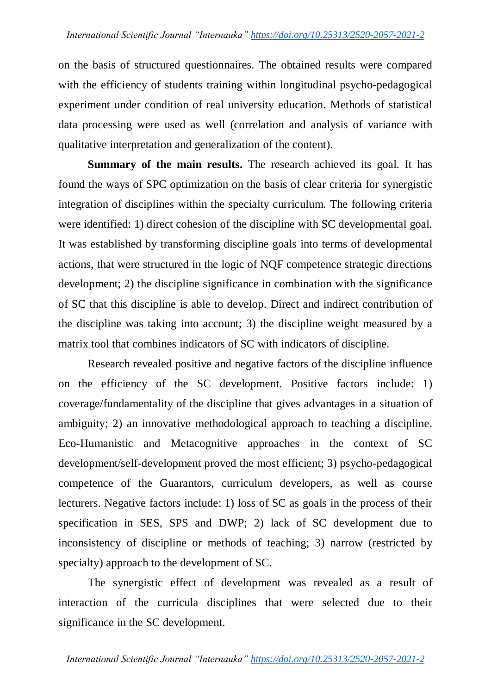on the basis of structured questionnaires. The obtained results were compared with the efficiency of students training within longitudinal psycho-pedagogical experiment under condition of real university education. Methods of statistical data processing were used as well (correlation and analysis of variance with qualitative interpretation and generalization of the content).

**Summary of the main results.** The research achieved its goal. It has found the ways of SPC optimization on the basis of clear criteria for synergistic integration of disciplines within the specialty curriculum. The following criteria were identified: 1) direct cohesion of the discipline with SC developmental goal. It was established by transforming discipline goals into terms of developmental actions, that were structured in the logic of NQF competence strategic directions development; 2) the discipline significance in combination with the significance of SC that this discipline is able to develop. Direct and indirect contribution of the discipline was taking into account; 3) the discipline weight measured by a matrix tool that combines indicators of SC with indicators of discipline.

Research revealed positive and negative factors of the discipline influence on the efficiency of the SC development. Positive factors include: 1) coverage/fundamentality of the discipline that gives advantages in a situation of ambiguity; 2) an innovative methodological approach to teaching a discipline. Eco-Humanistic and Metacognitive approaches in the context of SC development/self-development proved the most efficient; 3) psycho-pedagogical competence of the Guarantors, curriculum developers, as well as course lecturers. Negative factors include: 1) loss of SC as goals in the process of their specification in SES, SPS and DWP; 2) lack of SC development due to inconsistency of discipline or methods of teaching; 3) narrow (restricted by specialty) approach to the development of SC.

The synergistic effect of development was revealed as a result of interaction of the curricula disciplines that were selected due to their significance in the SC development.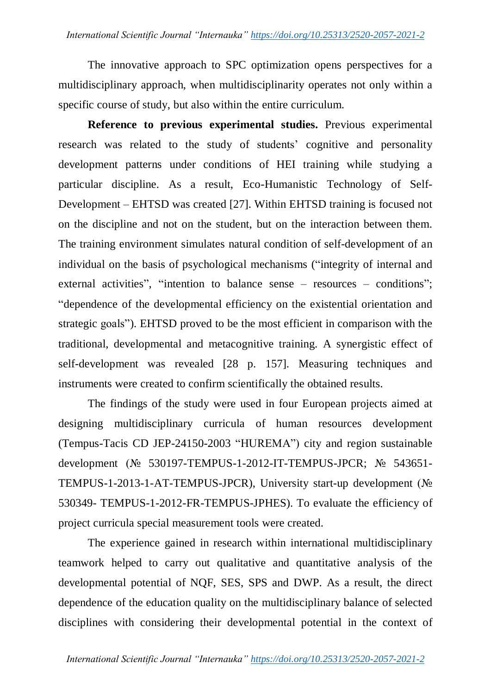The innovative approach to SPC optimization opens perspectives for a multidisciplinary approach, when multidisciplinarity operates not only within a specific course of study, but also within the entire curriculum.

**Reference to previous experimental studies.** Previous experimental research was related to the study of students' cognitive and personality development patterns under conditions of HEI training while studying a particular discipline. As a result, Eco-Humanistic Technology of Self-Development – EHTSD was created [27]. Within EHTSD training is focused not on the discipline and not on the student, but on the interaction between them. The training environment simulates natural condition of self-development of an individual on the basis of psychological mechanisms ("integrity of internal and external activities", "intention to balance sense – resources – conditions"; "dependence of the developmental efficiency on the existential orientation and strategic goals"). EHTSD proved to be the most efficient in comparison with the traditional, developmental and metacognitive training. A synergistic effect of self-development was revealed [28 p. 157]. Measuring techniques and instruments were created to confirm scientifically the obtained results.

The findings of the study were used in four European projects aimed at designing multidisciplinary curricula of human resources development (Tempus-Tacis CD JEP-24150-2003 "HUREMA") city and region sustainable development (№ 530197-TEMPUS-1-2012-IT-TEMPUS-JPCR; № 543651- TEMPUS-1-2013-1-AT-TEMPUS-JPCR), University start-up development (№ 530349- TEMPUS-1-2012-FR-TEMPUS-JPHES). To evaluate the efficiency of project curricula special measurement tools were created.

The experience gained in research within international multidisciplinary teamwork helped to carry out qualitative and quantitative analysis of the developmental potential of NQF, SES, SPS and DWP. As a result, the direct dependence of the education quality on the multidisciplinary balance of selected disciplines with considering their developmental potential in the context of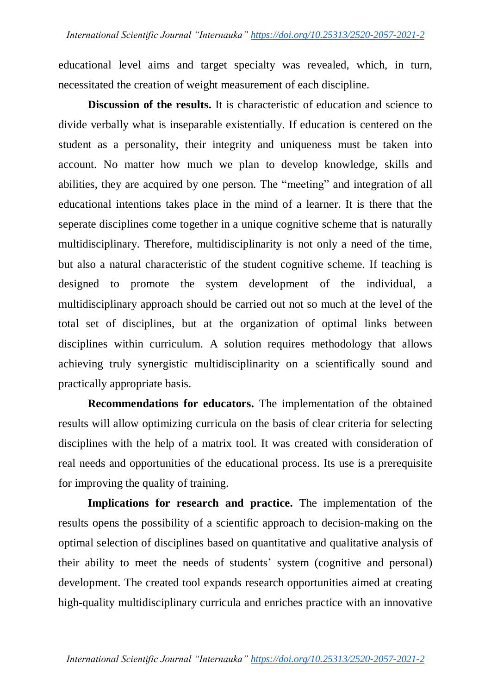educational level aims and target specialty was revealed, which, in turn, necessitated the creation of weight measurement of each discipline.

**Discussion of the results.** It is characteristic of education and science to divide verbally what is inseparable existentially. If education is centered on the student as a personality, their integrity and uniqueness must be taken into account. No matter how much we plan to develop knowledge, skills and abilities, they are acquired by one person. The "meeting" and integration of all educational intentions takes place in the mind of a learner. It is there that the seperate disciplines come together in a unique cognitive scheme that is naturally multidisciplinary. Therefore, multidisciplinarity is not only a need of the time, but also a natural characteristic of the student cognitive scheme. If teaching is designed to promote the system development of the individual, a multidisciplinary approach should be carried out not so much at the level of the total set of disciplines, but at the organization of optimal links between disciplines within curriculum. A solution requires methodology that allows achieving truly synergistic multidisciplinarity on a scientifically sound and practically appropriate basis.

**Recommendations for educators.** The implementation of the obtained results will allow optimizing curricula on the basis of clear criteria for selecting disciplines with the help of a matrix tool. It was created with consideration of real needs and opportunities of the educational process. Its use is a prerequisite for improving the quality of training.

**Implications for research and practice.** The implementation of the results opens the possibility of a scientific approach to decision-making on the optimal selection of disciplines based on quantitative and qualitative analysis of their ability to meet the needs of students" system (cognitive and personal) development. The created tool expands research opportunities aimed at creating high-quality multidisciplinary curricula and enriches practice with an innovative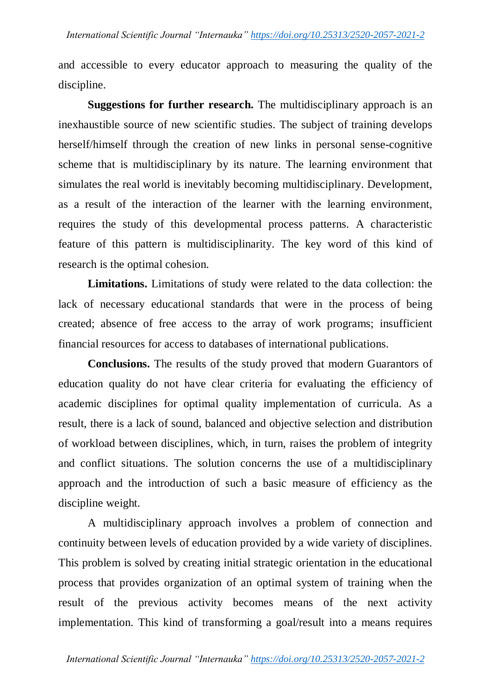and accessible to every educator approach to measuring the quality of the discipline.

**Suggestions for further research.** The multidisciplinary approach is an inexhaustible source of new scientific studies. The subject of training develops herself/himself through the creation of new links in personal sense-cognitive scheme that is multidisciplinary by its nature. The learning environment that simulates the real world is inevitably becoming multidisciplinary. Development, as a result of the interaction of the learner with the learning environment, requires the study of this developmental process patterns. A characteristic feature of this pattern is multidisciplinarity. The key word of this kind of research is the optimal cohesion.

**Limitations.** Limitations of study were related to the data collection: the lack of necessary educational standards that were in the process of being created; absence of free access to the array of work programs; insufficient financial resources for access to databases of international publications.

**Conclusions.** The results of the study proved that modern Guarantors of education quality do not have clear criteria for evaluating the efficiency of academic disciplines for optimal quality implementation of curricula. As a result, there is a lack of sound, balanced and objective selection and distribution of workload between disciplines, which, in turn, raises the problem of integrity and conflict situations. The solution concerns the use of a multidisciplinary approach and the introduction of such a basic measure of efficiency as the discipline weight.

A multidisciplinary approach involves a problem of connection and continuity between levels of education provided by a wide variety of disciplines. This problem is solved by creating initial strategic orientation in the educational process that provides organization of an optimal system of training when the result of the previous activity becomes means of the next activity implementation. This kind of transforming a goal/result into a means requires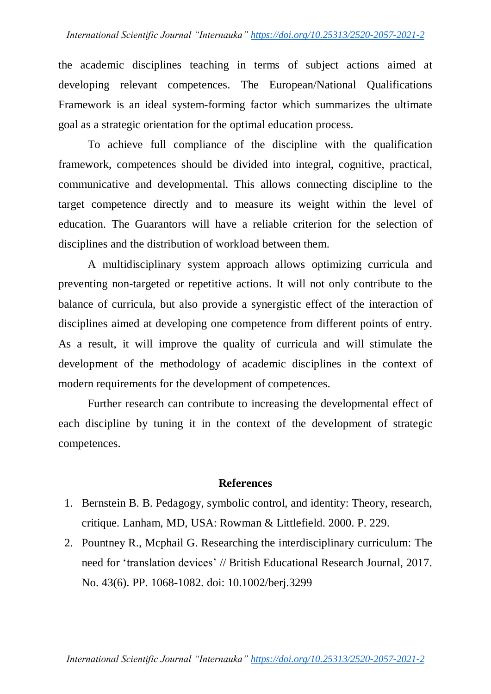the academic disciplines teaching in terms of subject actions aimed at developing relevant competences. The European/National Qualifications Framework is an ideal system-forming factor which summarizes the ultimate goal as a strategic orientation for the optimal education process.

To achieve full compliance of the discipline with the qualification framework, competences should be divided into integral, cognitive, practical, communicative and developmental. This allows connecting discipline to the target competence directly and to measure its weight within the level of education. The Guarantors will have a reliable criterion for the selection of disciplines and the distribution of workload between them.

A multidisciplinary system approach allows optimizing curricula and preventing non-targeted or repetitive actions. It will not only contribute to the balance of curricula, but also provide a synergistic effect of the interaction of disciplines aimed at developing one competence from different points of entry. As a result, it will improve the quality of curricula and will stimulate the development of the methodology of academic disciplines in the context of modern requirements for the development of competences.

Further research can contribute to increasing the developmental effect of each discipline by tuning it in the context of the development of strategic competences.

## **References**

- 1. Bernstein B. B. Pedagogy, symbolic control, and identity: Theory, research, critique. Lanham, MD, USA: Rowman & Littlefield. 2000. P. 229.
- 2. Pountney R., Mcphail G. Researching the interdisciplinary curriculum: The need for "translation devices" // British Educational Research Journal, 2017. No. 43(6). PP. 1068-1082. doi: 10.1002/berj.3299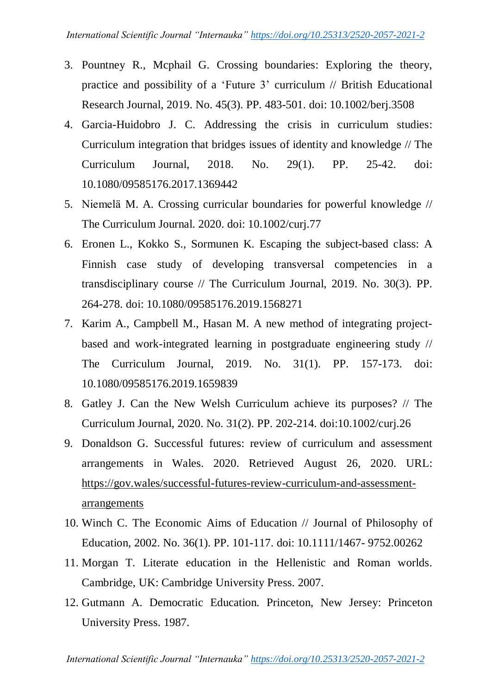- 3. Pountney R., Mcphail G. Crossing boundaries: Exploring the theory, practice and possibility of a "Future 3" curriculum // British Educational Research Journal, 2019. No. 45(3). PP. 483-501. doi: 10.1002/berj.3508
- 4. Garcia-Huidobro J. C. Addressing the crisis in curriculum studies: Curriculum integration that bridges issues of identity and knowledge // The Curriculum Journal, 2018. No. 29(1). PP. 25-42. doi: 10.1080/09585176.2017.1369442
- 5. Niemelä M. A. Crossing curricular boundaries for powerful knowledge // The Curriculum Journal. 2020. doi: 10.1002/curj.77
- 6. Eronen L., Kokko S., Sormunen K. Escaping the subject-based class: A Finnish case study of developing transversal competencies in a transdisciplinary course // The Curriculum Journal, 2019. No. 30(3). PP. 264-278. doi: 10.1080/09585176.2019.1568271
- 7. Karim A., Campbell M., Hasan M. A new method of integrating projectbased and work-integrated learning in postgraduate engineering study // The Curriculum Journal, 2019. No. 31(1). PP. 157-173. doi: 10.1080/09585176.2019.1659839
- 8. Gatley J. Can the New Welsh Curriculum achieve its purposes? // The Curriculum Journal, 2020. No. 31(2). PP. 202-214. doi:10.1002/curj.26
- 9. Donaldson G. Successful futures: review of curriculum and assessment arrangements in Wales. 2020. Retrieved August 26, 2020. URL: [https://gov.wales/successful-futures-review-curriculum-and-assessment](https://gov.wales/successful-futures-review-curriculum-and-assessment-arrangements)[arrangements](https://gov.wales/successful-futures-review-curriculum-and-assessment-arrangements)
- 10. Winch C. The Economic Aims of Education // Journal of Philosophy of Education, 2002. No. 36(1). PP. 101-117. doi: 10.1111/1467- 9752.00262
- 11. Morgan T. Literate education in the Hellenistic and Roman worlds. Cambridge, UK: Cambridge University Press. 2007.
- 12. Gutmann A. Democratic Education*.* Princeton, New Jersey: Princeton University Press. 1987.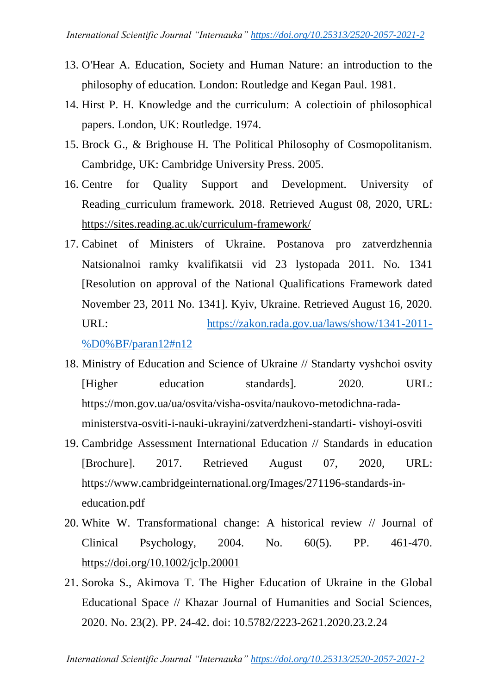- 13. O'Hear A. Education, Society and Human Nature: an introduction to the philosophy of education*.* London: Routledge and Kegan Paul. 1981.
- 14. Hirst P. H. Knowledge and the curriculum: A colectioin of philosophical papers. London, UK: Routledge. 1974.
- 15. Brock G., & Brighouse H. The Political Philosophy of Cosmopolitanism. Cambridge, UK: Cambridge University Press. 2005.
- 16. Centre for Quality Support and Development. University of Reading\_curriculum framework. 2018. Retrieved August 08, 2020, URL: <https://sites.reading.ac.uk/curriculum-framework/>
- 17. Cabinet of Ministers of Ukraine. Postanova pro zatverdzhennia Natsionalnoi ramky kvalifikatsii vid 23 lystopada 2011. No*.* 1341 [Resolution on approval of the National Qualifications Framework dated November 23, 2011 No. 1341]. Kyiv, Ukraine. Retrieved August 16, 2020. URL: [https://zakon.rada.gov.ua/laws/show/1341-2011-](https://zakon.rada.gov.ua/laws/show/1341-2011-%D0%BF/paran12#n12) [%D0%BF/paran12#n12](https://zakon.rada.gov.ua/laws/show/1341-2011-%D0%BF/paran12#n12)
- 18. Ministry of Education and Science of Ukraine // Standarty vyshchoi osvity [Higher education standards]. 2020. URL: https://mon.gov.ua/ua/osvita/visha-osvita/naukovo-metodichna-radaministerstva-osviti-i-nauki-ukrayini/zatverdzheni-standarti- vishoyi-osviti
- 19. Cambridge Assessment International Education // Standards in education [Brochure]. 2017. Retrieved August 07, 2020, URL: https://www.cambridgeinternational.org/Images/271196-standards-ineducation.pdf
- 20. White W. Transformational change: A historical review // Journal of Clinical Psychology, 2004. No. 60(5). PP. 461-470. <https://doi.org/10.1002/jclp.20001>
- 21. Soroka S., Akimova T. The Higher Education of Ukraine in the Global Educational Space // Khazar Journal of Humanities and Social Sciences, 2020. No. 23(2). PP. 24-42. doi: 10.5782/2223-2621.2020.23.2.24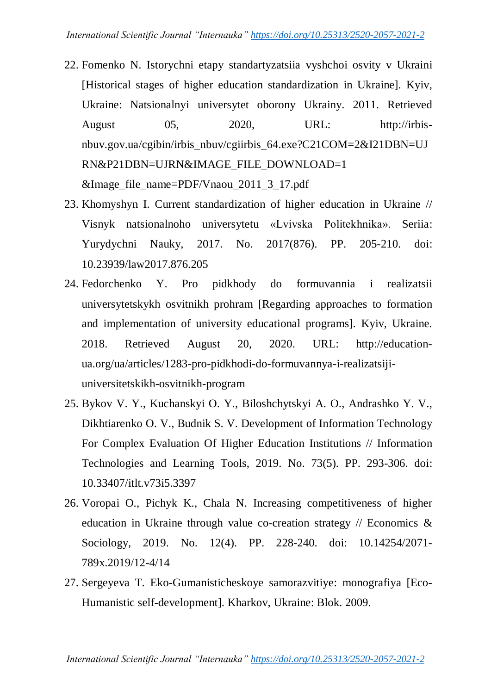- 22. Fomenko N. Istorychni etapy standartyzatsiia vyshchoi osvity v Ukraini [Historical stages of higher education standardization in Ukraine]. Kyiv, Ukraine: Natsionalnyi universytet oborony Ukrainy. 2011. Retrieved August 05, 2020, URL: http://irbisnbuv.gov.ua/cgibin/irbis\_nbuv/cgiirbis\_64.exe?C21COM=2&I21DBN=UJ RN&P21DBN=UJRN&IMAGE\_FILE\_DOWNLOAD=1  $&$ Image file name=PDF/Vnaou 2011 3 17.pdf
- 23. Khomyshyn I. Current standardization of higher education in Ukraine // Visnyk natsionalnoho universytetu «Lvivska Politekhnika». Seriia: Yurydychni Nauky, 2017. No. 2017(876). PP. 205-210. doi: 10.23939/law2017.876.205
- 24. Fedorchenko Y. Pro pidkhody do formuvannia i realizatsii universytetskykh osvitnikh prohram [Regarding approaches to formation and implementation of university educational programs]. Kyiv, Ukraine. 2018. Retrieved August 20, 2020. URL: http://educationua.org/ua/articles/1283-pro-pidkhodi-do-formuvannya-i-realizatsijiuniversitetskikh-osvitnikh-program
- 25. Bykov V. Y., Kuchanskyi O. Y., Biloshchytskyi A. O., Andrashko Y. V., Dikhtiarenko O. V., Budnik S. V. Development of Information Technology For Complex Evaluation Of Higher Education Institutions // Information Technologies and Learning Tools, 2019. No. 73(5). PP. 293-306. doi: 10.33407/itlt.v73i5.3397
- 26. Voropai O., Pichyk K., Chala N. Increasing competitiveness of higher education in Ukraine through value co-creation strategy  $\pi$  Economics & Sociology, 2019. No. 12(4). PP. 228-240. doi: 10.14254/2071- 789x.2019/12-4/14
- 27. Sergeyeva T. Eko-Gumanisticheskoye samorazvitiye: monografiya [Eco-Humanistic self-development]. Kharkov, Ukraine: Blok. 2009.